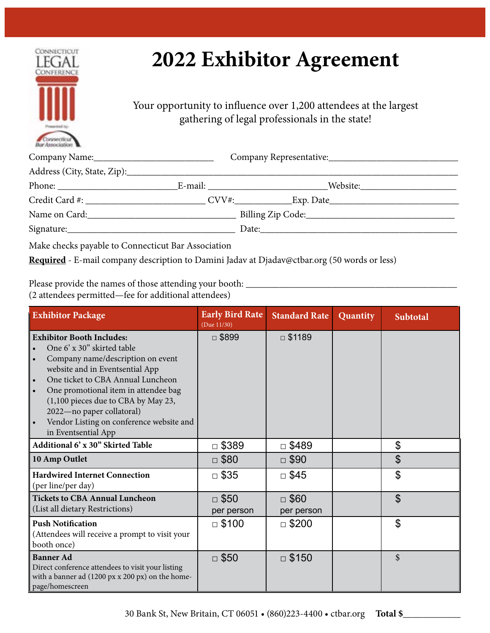

# **2022 Exhibitor Agreement**

Your opportunity to influence over 1,200 attendees at the largest gathering of legal professionals in the state!

| <b>ENSY ASSOCIATIONS INC.</b> |  |                                                                                                                                                                                                                                |  |  |  |
|-------------------------------|--|--------------------------------------------------------------------------------------------------------------------------------------------------------------------------------------------------------------------------------|--|--|--|
|                               |  |                                                                                                                                                                                                                                |  |  |  |
|                               |  |                                                                                                                                                                                                                                |  |  |  |
|                               |  |                                                                                                                                                                                                                                |  |  |  |
|                               |  |                                                                                                                                                                                                                                |  |  |  |
| Name on Card:                 |  |                                                                                                                                                                                                                                |  |  |  |
|                               |  | Date: the contract of the contract of the contract of the contract of the contract of the contract of the contract of the contract of the contract of the contract of the contract of the contract of the contract of the cont |  |  |  |
|                               |  |                                                                                                                                                                                                                                |  |  |  |

Make checks payable to Connecticut Bar Association

**Required** - E-mail company description to Damini Jadav at Djadav@ctbar.org (50 words or less)

Please provide the names of those attending your booth: \_\_\_\_\_\_\_\_\_\_\_\_\_\_\_\_\_\_\_\_\_\_\_\_\_\_\_\_\_\_\_\_\_\_\_\_\_\_\_\_\_\_\_\_ (2 attendees permitted—fee for additional attendees)

| <b>Exhibitor Package</b>                                                                                                                                                                                                                                                                                                                                                | <b>Early Bird Rate</b><br>(Due 11/30) | <b>Standard Rate</b>      | Quantity | <b>Subtotal</b> |
|-------------------------------------------------------------------------------------------------------------------------------------------------------------------------------------------------------------------------------------------------------------------------------------------------------------------------------------------------------------------------|---------------------------------------|---------------------------|----------|-----------------|
| <b>Exhibitor Booth Includes:</b><br>One 6' x 30" skirted table<br>Company name/description on event<br>website and in Eventsential App<br>One ticket to CBA Annual Luncheon<br>One promotional item in attendee bag<br>$\bullet$<br>(1,100 pieces due to CBA by May 23,<br>2022-no paper collatoral)<br>Vendor Listing on conference website and<br>in Eventsential App | $\Box$ \$899                          | $\Box$ \$1189             |          |                 |
| Additional 6' x 30" Skirted Table                                                                                                                                                                                                                                                                                                                                       | $\square$ \$389                       | $\Box$ \$489              |          | \$              |
| 10 Amp Outlet                                                                                                                                                                                                                                                                                                                                                           | $\Box$ \$80                           | $\Box$ \$90               |          | \$              |
| <b>Hardwired Internet Connection</b><br>(per line/per day)                                                                                                                                                                                                                                                                                                              | $\Box$ \$35                           | $\square$ \$45            |          | \$              |
| <b>Tickets to CBA Annual Luncheon</b><br>(List all dietary Restrictions)                                                                                                                                                                                                                                                                                                | $\Box$ \$50<br>per person             | $\Box$ \$60<br>per person |          | $\mathfrak{P}$  |
| <b>Push Notification</b><br>(Attendees will receive a prompt to visit your<br>booth once)                                                                                                                                                                                                                                                                               | $\Box$ \$100                          | $\Box$ \$200              |          | \$              |
| <b>Banner Ad</b><br>Direct conference attendees to visit your listing<br>with a banner ad (1200 px x 200 px) on the home-<br>page/homescreen                                                                                                                                                                                                                            | $\Box$ \$50                           | $\Box$ \$150              |          | \$              |